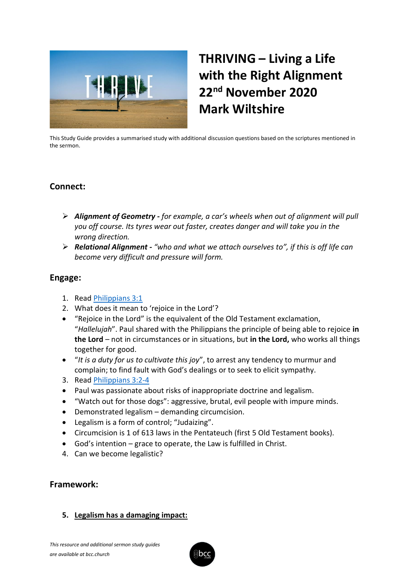

# **THRIVING – Living a Life with the Right Alignment 22nd November 2020 Mark Wiltshire**

This Study Guide provides a summarised study with additional discussion questions based on the scriptures mentioned in the sermon.

## **Connect:**

- ➢ *Alignment of Geometry - for example, a car's wheels when out of alignment will pull you off course. Its tyres wear out faster, creates danger and will take you in the wrong direction.*
- ➢ *Relational Alignment - "who and what we attach ourselves to", if this is off life can become very difficult and pressure will form.*

## **Engage:**

- 1. Read [Philippians 3:1](https://www.biblegateway.com/passage/?search=Philippians+3%3A1&version=ESV)
- 2. What does it mean to 'rejoice in the Lord'?
- "Rejoice in the Lord" is the equivalent of the Old Testament exclamation, "*Hallelujah*". Paul shared with the Philippians the principle of being able to rejoice **in the Lord** – not in circumstances or in situations, but **in the Lord,** who works all things together for good.
- "*It is a duty for us to cultivate this joy*", to arrest any tendency to murmur and complain; to find fault with God's dealings or to seek to elicit sympathy.
- 3. Read [Philippians 3:2-4](https://www.biblegateway.com/passage/?search=Philippians+3%3A2-4&version=ESV)
- Paul was passionate about risks of inappropriate doctrine and legalism.
- "Watch out for those dogs": aggressive, brutal, evil people with impure minds.
- Demonstrated legalism demanding circumcision.
- Legalism is a form of control; "Judaizing".
- Circumcision is 1 of 613 laws in the Pentateuch (first 5 Old Testament books).
- God's intention grace to operate, the Law is fulfilled in Christ.
- 4. Can we become legalistic?

## **Framework:**

#### **5. Legalism has a damaging impact:**

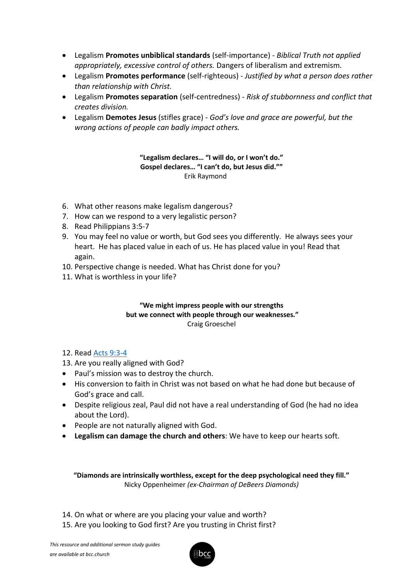- Legalism **Promotes unbiblical standards** (self-importance) *Biblical Truth not applied appropriately, excessive control of others.* Dangers of liberalism and extremism.
- Legalism **Promotes performance** (self-righteous) *Justified by what a person does rather than relationship with Christ.*
- Legalism **Promotes separation** (self-centredness) *Risk of stubbornness and conflict that creates division.*
- Legalism **Demotes Jesus** (stifles grace) *God's love and grace are powerful, but the wrong actions of people can badly impact others.*

**"Legalism declares… "I will do, or I won't do." Gospel declares… "I can't do, but Jesus did.""** Erik Raymond

- 6. What other reasons make legalism dangerous?
- 7. How can we respond to a very legalistic person?
- 8. Read Philippians 3:5-7
- 9. You may feel no value or worth, but God sees you differently. He always sees your heart. He has placed value in each of us. He has placed value in you! Read that again.
- 10. Perspective change is needed. What has Christ done for you?
- 11. What is worthless in your life?

#### **"We might impress people with our strengths but we connect with people through our weaknesses."**  Craig Groeschel

#### 12. Read [Acts 9:3-4](https://www.biblegateway.com/passage/?search=Acts+9%3A3-4&version=ESV)

- 13. Are you really aligned with God?
- Paul's mission was to destroy the church.
- His conversion to faith in Christ was not based on what he had done but because of God's grace and call.
- Despite religious zeal, Paul did not have a real understanding of God (he had no idea about the Lord).
- People are not naturally aligned with God.
- **Legalism can damage the church and others**: We have to keep our hearts soft.

**"Diamonds are intrinsically worthless, except for the deep psychological need they fill."** Nicky Oppenheimer *(ex-Chairman of DeBeers Diamonds)*

- 14. On what or where are you placing your value and worth?
- 15. Are you looking to God first? Are you trusting in Christ first?